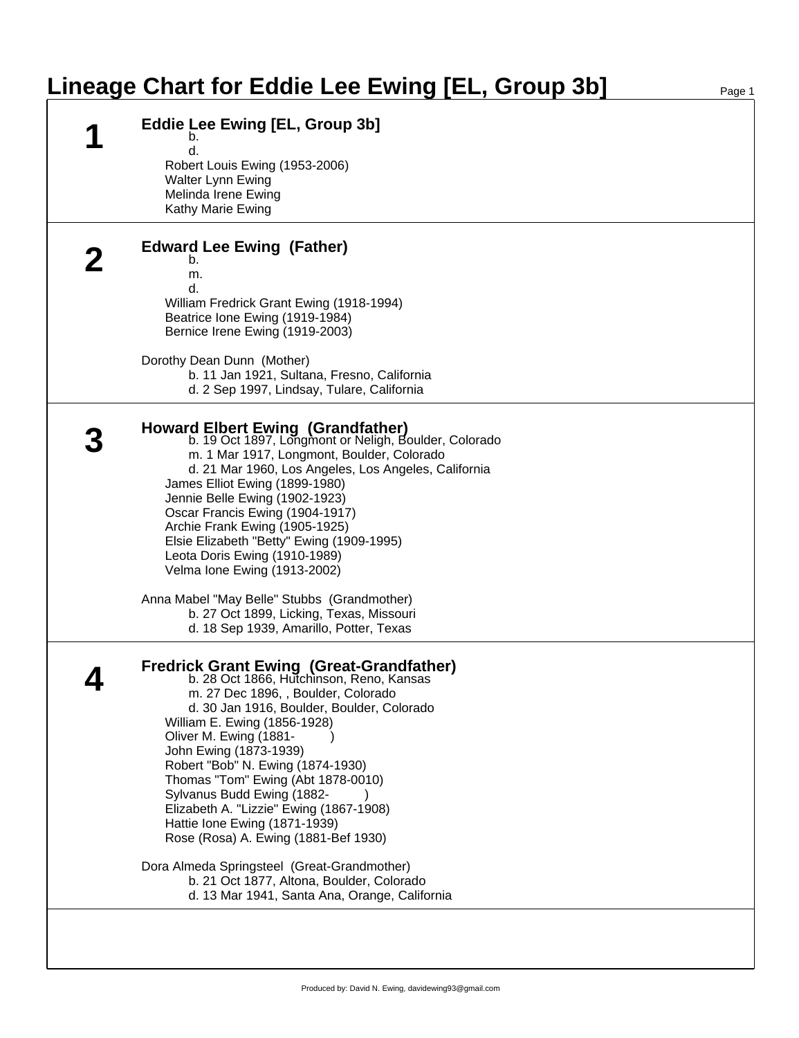## Lineage Chart for Eddie Lee Ewing [EL, Group 3b]

| <b>Eddie Lee Ewing [EL, Group 3b]</b>                                                             |
|---------------------------------------------------------------------------------------------------|
| b.                                                                                                |
| d.                                                                                                |
| Robert Louis Ewing (1953-2006)<br>Walter Lynn Ewing                                               |
| Melinda Irene Ewing                                                                               |
| Kathy Marie Ewing                                                                                 |
| <b>Edward Lee Ewing (Father)</b>                                                                  |
| b.                                                                                                |
| m.                                                                                                |
| d.<br>William Fredrick Grant Ewing (1918-1994)                                                    |
| Beatrice Ione Ewing (1919-1984)                                                                   |
| Bernice Irene Ewing (1919-2003)                                                                   |
|                                                                                                   |
| Dorothy Dean Dunn (Mother)<br>b. 11 Jan 1921, Sultana, Fresno, California                         |
| d. 2 Sep 1997, Lindsay, Tulare, California                                                        |
|                                                                                                   |
| <b>Howard Elbert Ewing (Grandfather)</b><br>b. 19 Oct 1897, Longmont or Neligh, Boulder, Colorado |
| m. 1 Mar 1917, Longmont, Boulder, Colorado                                                        |
| d. 21 Mar 1960, Los Angeles, Los Angeles, California                                              |
| James Elliot Ewing (1899-1980)                                                                    |
| Jennie Belle Ewing (1902-1923)                                                                    |
| Oscar Francis Ewing (1904-1917)<br>Archie Frank Ewing (1905-1925)                                 |
| Elsie Elizabeth "Betty" Ewing (1909-1995)                                                         |
| Leota Doris Ewing (1910-1989)                                                                     |
| Velma Ione Ewing (1913-2002)                                                                      |
| Anna Mabel "May Belle" Stubbs (Grandmother)                                                       |
| b. 27 Oct 1899, Licking, Texas, Missouri                                                          |
| d. 18 Sep 1939, Amarillo, Potter, Texas                                                           |
|                                                                                                   |
| <b>Fredrick Grant Ewing (Great-Grandfather)</b><br>b. 28 Oct 1866, Hutchinson, Reno, Kansas       |
| m. 27 Dec 1896, , Boulder, Colorado                                                               |
| d. 30 Jan 1916, Boulder, Boulder, Colorado                                                        |
| William E. Ewing (1856-1928)<br>Oliver M. Ewing (1881-                                            |
| John Ewing (1873-1939)                                                                            |
| Robert "Bob" N. Ewing (1874-1930)                                                                 |
| Thomas "Tom" Ewing (Abt 1878-0010)                                                                |
| Sylvanus Budd Ewing (1882-                                                                        |
| Elizabeth A. "Lizzie" Ewing (1867-1908)                                                           |
| Hattie Ione Ewing (1871-1939)<br>Rose (Rosa) A. Ewing (1881-Bef 1930)                             |
| Dora Almeda Springsteel (Great-Grandmother)                                                       |
| b. 21 Oct 1877, Altona, Boulder, Colorado                                                         |
| d. 13 Mar 1941, Santa Ana, Orange, California                                                     |
|                                                                                                   |
|                                                                                                   |